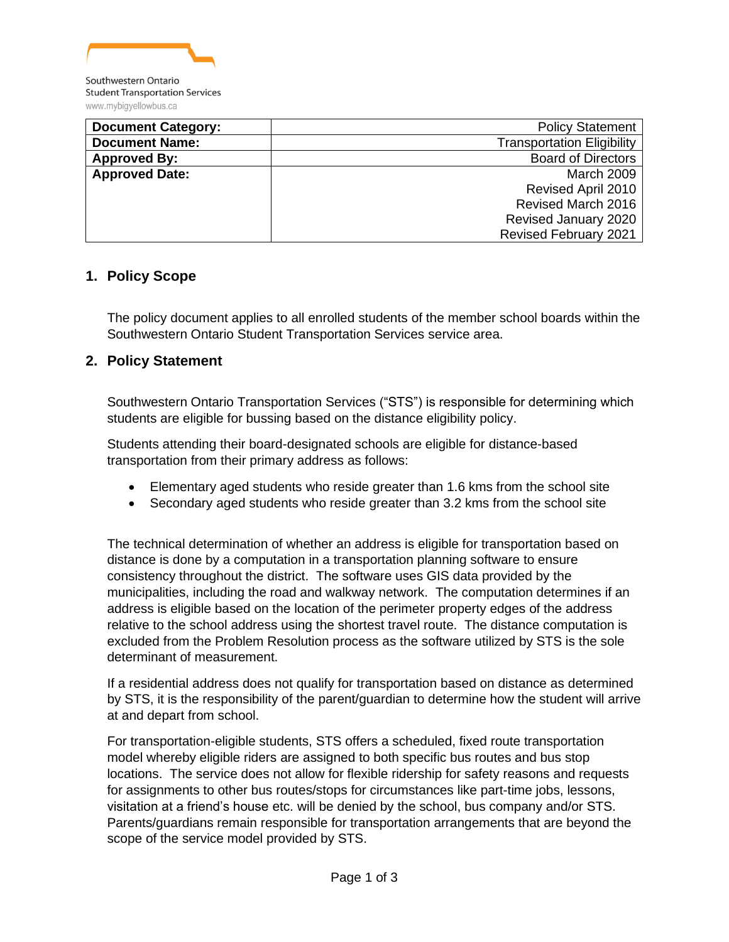

| <b>Document Category:</b> | <b>Policy Statement</b>           |
|---------------------------|-----------------------------------|
| <b>Document Name:</b>     | <b>Transportation Eligibility</b> |
| <b>Approved By:</b>       | <b>Board of Directors</b>         |
| <b>Approved Date:</b>     | March 2009                        |
|                           | Revised April 2010                |
|                           | Revised March 2016                |
|                           | Revised January 2020              |
|                           | <b>Revised February 2021</b>      |

#### **1. Policy Scope**

The policy document applies to all enrolled students of the member school boards within the Southwestern Ontario Student Transportation Services service area.

### **2. Policy Statement**

Southwestern Ontario Transportation Services ("STS") is responsible for determining which students are eligible for bussing based on the distance eligibility policy.

Students attending their board-designated schools are eligible for distance-based transportation from their primary address as follows:

- Elementary aged students who reside greater than 1.6 kms from the school site
- Secondary aged students who reside greater than 3.2 kms from the school site

The technical determination of whether an address is eligible for transportation based on distance is done by a computation in a transportation planning software to ensure consistency throughout the district. The software uses GIS data provided by the municipalities, including the road and walkway network. The computation determines if an address is eligible based on the location of the perimeter property edges of the address relative to the school address using the shortest travel route. The distance computation is excluded from the Problem Resolution process as the software utilized by STS is the sole determinant of measurement.

If a residential address does not qualify for transportation based on distance as determined by STS, it is the responsibility of the parent/guardian to determine how the student will arrive at and depart from school.

For transportation-eligible students, STS offers a scheduled, fixed route transportation model whereby eligible riders are assigned to both specific bus routes and bus stop locations. The service does not allow for flexible ridership for safety reasons and requests for assignments to other bus routes/stops for circumstances like part-time jobs, lessons, visitation at a friend's house etc. will be denied by the school, bus company and/or STS. Parents/guardians remain responsible for transportation arrangements that are beyond the scope of the service model provided by STS.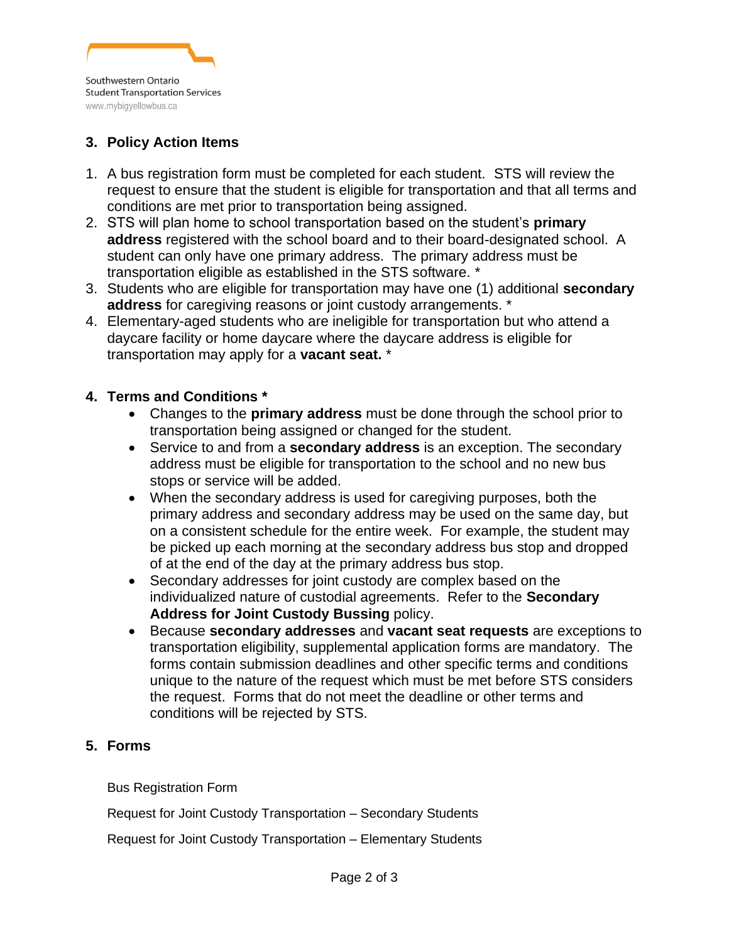

# **3. Policy Action Items**

- 1. A bus registration form must be completed for each student. STS will review the request to ensure that the student is eligible for transportation and that all terms and conditions are met prior to transportation being assigned.
- 2. STS will plan home to school transportation based on the student's **primary address** registered with the school board and to their board-designated school. A student can only have one primary address. The primary address must be transportation eligible as established in the STS software. \*
- 3. Students who are eligible for transportation may have one (1) additional **secondary address** for caregiving reasons or joint custody arrangements. \*
- 4. Elementary-aged students who are ineligible for transportation but who attend a daycare facility or home daycare where the daycare address is eligible for transportation may apply for a **vacant seat.** \*

### **4. Terms and Conditions \***

- Changes to the **primary address** must be done through the school prior to transportation being assigned or changed for the student.
- Service to and from a **secondary address** is an exception. The secondary address must be eligible for transportation to the school and no new bus stops or service will be added.
- When the secondary address is used for caregiving purposes, both the primary address and secondary address may be used on the same day, but on a consistent schedule for the entire week. For example, the student may be picked up each morning at the secondary address bus stop and dropped of at the end of the day at the primary address bus stop.
- Secondary addresses for joint custody are complex based on the individualized nature of custodial agreements. Refer to the **Secondary Address for Joint Custody Bussing** policy.
- Because **secondary addresses** and **vacant seat requests** are exceptions to transportation eligibility, supplemental application forms are mandatory. The forms contain submission deadlines and other specific terms and conditions unique to the nature of the request which must be met before STS considers the request. Forms that do not meet the deadline or other terms and conditions will be rejected by STS.

## **5. Forms**

Bus Registration Form

Request for Joint Custody Transportation – Secondary Students

Request for Joint Custody Transportation – Elementary Students